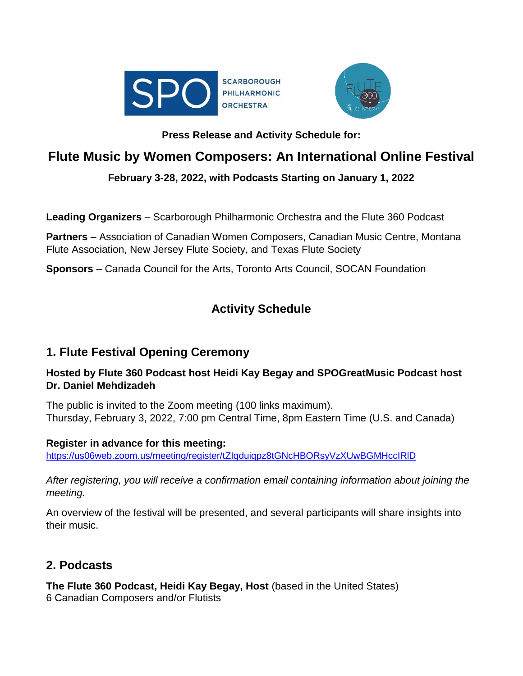



## **Press Release and Activity Schedule for:**

# **Flute Music by Women Composers: An International Online Festival**

## **February 3-28, 2022, with Podcasts Starting on January 1, 2022**

**Leading Organizers** – Scarborough Philharmonic Orchestra and the Flute 360 Podcast

**Partners** – Association of Canadian Women Composers, Canadian Music Centre, Montana Flute Association, New Jersey Flute Society, and Texas Flute Society

**Sponsors** – Canada Council for the Arts, Toronto Arts Council, SOCAN Foundation

# **Activity Schedule**

## **1. Flute Festival Opening Ceremony**

## **Hosted by Flute 360 Podcast host Heidi Kay Begay and SPOGreatMusic Podcast host Dr. Daniel Mehdizadeh**

The public is invited to the Zoom meeting (100 links maximum). Thursday, February 3, 2022, 7:00 pm Central Time, 8pm Eastern Time (U.S. and Canada)

### **Register in advance for this meeting:**

<https://us06web.zoom.us/meeting/register/tZIqduiqpz8tGNcHBORsyVzXUwBGMHccIRlD>

*After registering, you will receive a confirmation email containing information about joining the meeting.*

An overview of the festival will be presented, and several participants will share insights into their music.

## **2. Podcasts**

**The Flute 360 Podcast, Heidi Kay Begay, Host** (based in the United States) 6 Canadian Composers and/or Flutists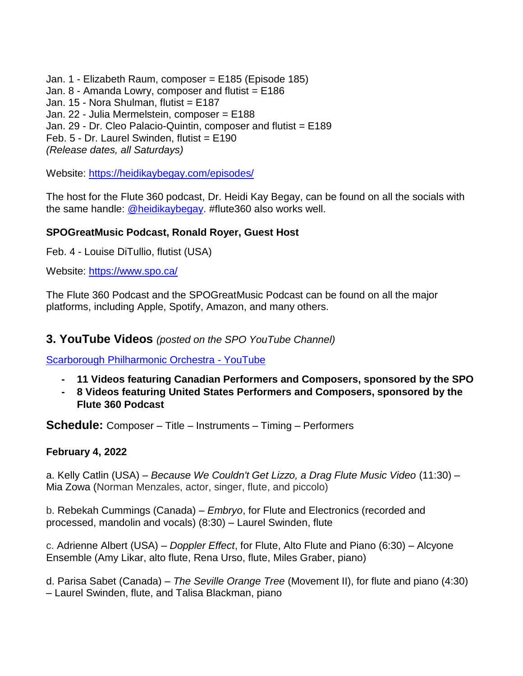Jan. 1 - [Elizabeth Raum, composer](https://heidikaybegay.com/episode-185/) = E185 (Episode 185) Jan.  $8$  - [Amanda Lowry, composer and flutist =](https://heidikaybegay.com/episode-186/)  $E186$ Jan. 15 - Nora Shulman, flutist = E187 Jan. 22 - Julia Mermelstein, composer = E188 Jan. 29 - Dr. Cleo Palacio-Quintin, composer and flutist = E189 Feb. 5 - Dr. Laurel Swinden, flutist = E190 *(Release dates, all Saturdays)*

Website:<https://heidikaybegay.com/episodes/>

The host for the Flute 360 podcast, Dr. Heidi Kay Begay, can be found on all the socials with the same handle: [@heidikaybegay.](https://www.instagram.com/heidikaybegay/?hl=en) #flute360 also works well.

#### **SPOGreatMusic Podcast, Ronald Royer, Guest Host**

Feb. 4 - Louise DiTullio, flutist (USA)

Website:<https://www.spo.ca/>

The Flute 360 Podcast and the SPOGreatMusic Podcast can be found on all the major platforms, including Apple, Spotify, Amazon, and many others.

#### **3. YouTube Videos** *(posted on the SPO YouTube Channel)*

[Scarborough Philharmonic Orchestra -](https://www.youtube.com/channel/UCurNgOQmmu56ziFHNhGNqNA) YouTube

- **- 11 Videos featuring Canadian Performers and Composers, sponsored by the SPO**
- **- 8 Videos featuring United States Performers and Composers, sponsored by the Flute 360 Podcast**

**Schedule:** Composer – Title – Instruments – Timing – Performers

#### **February 4, 2022**

a. Kelly Catlin (USA) – *Because We Couldn't Get Lizzo, a Drag Flute Music Video* (11:30) – Mia Zowa (Norman Menzales, actor, singer, flute, and piccolo)

b. Rebekah Cummings (Canada) – *Embryo*, for Flute and Electronics (recorded and processed, mandolin and vocals) (8:30) – Laurel Swinden, flute

c. Adrienne Albert (USA) – *Doppler Effect*, for Flute, Alto Flute and Piano (6:30) – Alcyone Ensemble (Amy Likar, alto flute, Rena Urso, flute, Miles Graber, piano)

d. Parisa Sabet (Canada) – *The Seville Orange Tree* (Movement II), for flute and piano (4:30) – Laurel Swinden, flute, and Talisa Blackman, piano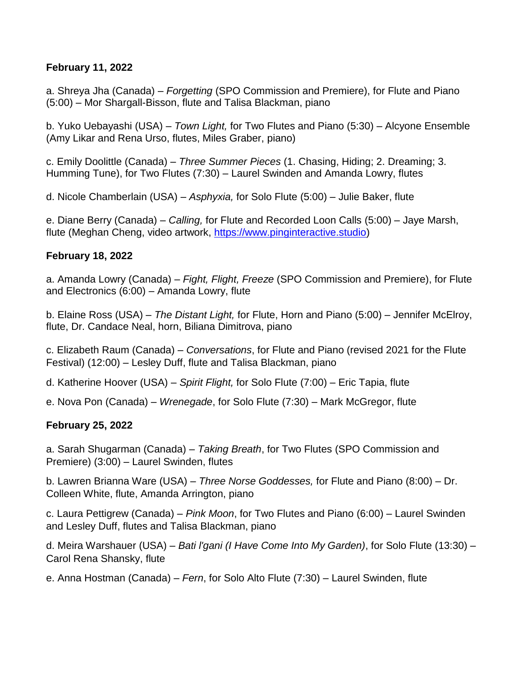### **February 11, 2022**

a. Shreya Jha (Canada) – *Forgetting* (SPO Commission and Premiere), for Flute and Piano (5:00) – Mor Shargall-Bisson, flute and Talisa Blackman, piano

b. Yuko Uebayashi (USA) – *Town Light,* for Two Flutes and Piano (5:30) – Alcyone Ensemble (Amy Likar and Rena Urso, flutes, Miles Graber, piano)

c. Emily Doolittle (Canada) – *Three Summer Pieces* (1. Chasing, Hiding; 2. Dreaming; 3. Humming Tune), for Two Flutes (7:30) – Laurel Swinden and Amanda Lowry, flutes

d. Nicole Chamberlain (USA) – *Asphyxia,* for Solo Flute (5:00) – Julie Baker, flute

e. Diane Berry (Canada) – *Calling,* for Flute and Recorded Loon Calls (5:00) – Jaye Marsh, flute (Meghan Cheng, video artwork, [https://www.pinginteractive.studio\)](https://www.youtube.com/redirect?event=video_description&redir_token=QUFFLUhqbnRtb25MS0VQQ0Mxa2x5bWFvLXJfaUhEcEs1d3xBQ3Jtc0tsTGVJWU42a3BmOE1CTmd2VmdXd2hDRm1XU0NlUnhKckxySzR2bWhrLV9sdk5UM1dUYjU4Ti1lOTVFdzZ6WDhBR3puWjNlQXlpMF9xQUpTWHJxcjJfQTBjeWo2V2hXcm9RNi10bWFrU0FlYjhrYU9sMA&q=https%3A%2F%2Fwww.pinginteractive.studio)

## **February 18, 2022**

a. Amanda Lowry (Canada) – *Fight, Flight, Freeze* (SPO Commission and Premiere), for Flute and Electronics (6:00) – Amanda Lowry, flute

b. Elaine Ross (USA) – *The Distant Light,* for Flute, Horn and Piano (5:00) – Jennifer McElroy, flute, Dr. Candace Neal, horn, Biliana Dimitrova, piano

c. Elizabeth Raum (Canada) – *Conversations*, for Flute and Piano (revised 2021 for the Flute Festival) (12:00) – Lesley Duff, flute and Talisa Blackman, piano

d. Katherine Hoover (USA) – *Spirit Flight,* for Solo Flute (7:00) – Eric Tapia, flute

e. Nova Pon (Canada) – *Wrenegade*, for Solo Flute (7:30) – Mark McGregor, flute

## **February 25, 2022**

a. Sarah Shugarman (Canada) – *Taking Breath*, for Two Flutes (SPO Commission and Premiere) (3:00) – Laurel Swinden, flutes

b. Lawren Brianna Ware (USA) – *Three Norse Goddesses,* for Flute and Piano (8:00) – Dr. Colleen White, flute, Amanda Arrington, piano

c. Laura Pettigrew (Canada) – *Pink Moon*, for Two Flutes and Piano (6:00) – Laurel Swinden and Lesley Duff, flutes and Talisa Blackman, piano

d. Meira Warshauer (USA) – *Bati l'gani (I Have Come Into My Garden)*, for Solo Flute (13:30) – Carol Rena Shansky, flute

e. Anna Hostman (Canada) – *Fern*, for Solo Alto Flute (7:30) – Laurel Swinden, flute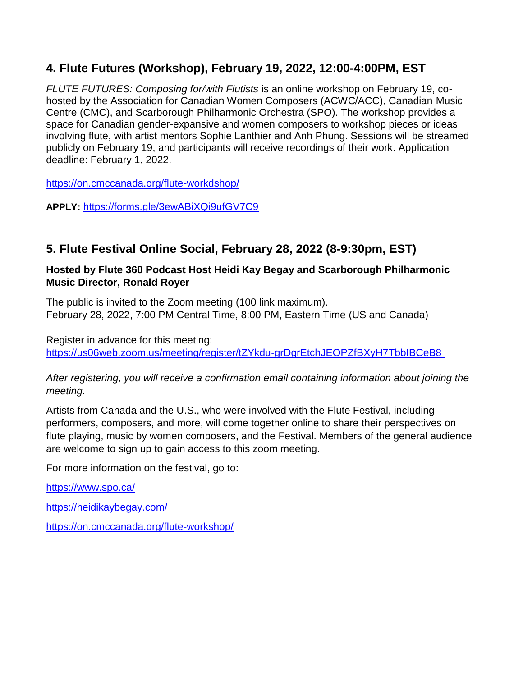## **4. Flute Futures (Workshop), February 19, 2022, 12:00-4:00PM, EST**

*FLUTE FUTURES: Composing for/with Flutists* is an online workshop on February 19, cohosted by the Association for Canadian Women Composers (ACWC/ACC), Canadian Music Centre (CMC), and Scarborough Philharmonic Orchestra (SPO). The workshop provides a space for Canadian gender-expansive and women composers to workshop pieces or ideas involving flute, with artist mentors Sophie Lanthier and Anh Phung. Sessions will be streamed publicly on February 19, and participants will receive recordings of their work. Application deadline: February 1, 2022.

<https://on.cmccanada.org/flute-workdshop/>

**APPLY:** <https://forms.gle/3ewABiXQi9ufGV7C9>

## **5. Flute Festival Online Social, February 28, 2022 (8-9:30pm, EST)**

#### **Hosted by Flute 360 Podcast Host Heidi Kay Begay and Scarborough Philharmonic Music Director, Ronald Royer**

The public is invited to the Zoom meeting (100 link maximum). February 28, 2022, 7:00 PM Central Time, 8:00 PM, Eastern Time (US and Canada)

Register in advance for this meeting: <https://us06web.zoom.us/meeting/register/tZYkdu-grDgrEtchJEOPZfBXyH7TbbIBCeB8>

### *After registering, you will receive a confirmation email containing information about joining the meeting.*

Artists from Canada and the U.S., who were involved with the Flute Festival, including performers, composers, and more, will come together online to share their perspectives on flute playing, music by women composers, and the Festival. Members of the general audience are welcome to sign up to gain access to this zoom meeting.

For more information on the festival, go to:

<https://www.spo.ca/>

<https://heidikaybegay.com/>

<https://on.cmccanada.org/flute-workshop/>